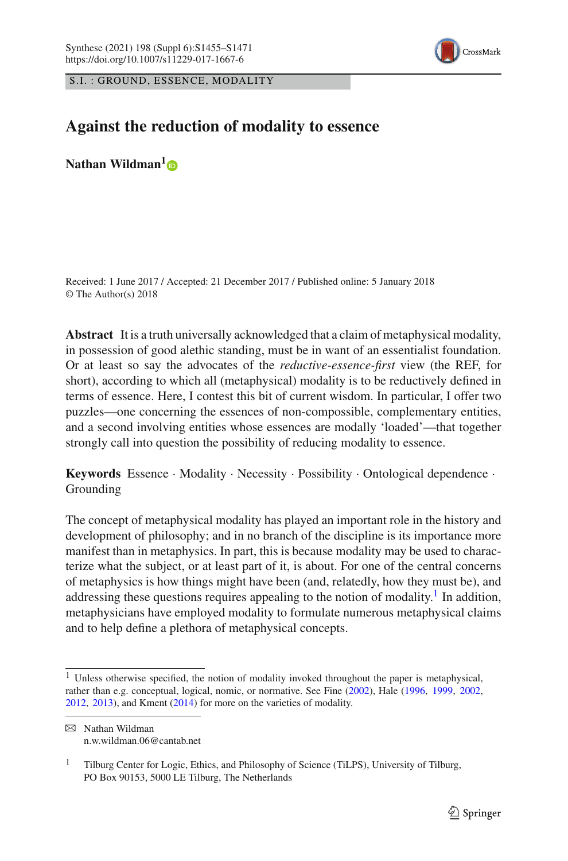

S.I. : GROUND, ESSENCE, MODALITY

# **Against the reduction of modality to essence**

**Nathan Wildman[1](http://orcid.org/0000-0003-3394-8028)**

Received: 1 June 2017 / Accepted: 21 December 2017 / Published online: 5 January 2018 © The Author(s) 2018

**Abstract** It is a truth universally acknowledged that a claim of metaphysical modality, in possession of good alethic standing, must be in want of an essentialist foundation. Or at least so say the advocates of the *reductive-essence-first* view (the REF, for short), according to which all (metaphysical) modality is to be reductively defined in terms of essence. Here, I contest this bit of current wisdom. In particular, I offer two puzzles—one concerning the essences of non-compossible, complementary entities, and a second involving entities whose essences are modally 'loaded'—that together strongly call into question the possibility of reducing modality to essence.

**Keywords** Essence · Modality · Necessity · Possibility · Ontological dependence · Grounding

The concept of metaphysical modality has played an important role in the history and development of philosophy; and in no branch of the discipline is its importance more manifest than in metaphysics. In part, this is because modality may be used to characterize what the subject, or at least part of it, is about. For one of the central concerns of metaphysics is how things might have been (and, relatedly, how they must be), and addressing these questions requires appealing to the notion of modality.<sup>1</sup> In addition, metaphysicians have employed modality to formulate numerous metaphysical claims and to help define a plethora of metaphysical concepts.

<sup>1</sup> Unless otherwise specified, the notion of modality invoked throughout the paper is metaphysical, rather than e.g. conceptual, logical, nomic, or normative. See Fin[e](#page-14-0) [\(2002\)](#page-14-0), Hal[e](#page-14-1) [\(1996](#page-14-1), [1999,](#page-15-0) [2002,](#page-15-1) [2012,](#page-15-2) [2013\)](#page-15-3), and Kmen[t](#page-15-4) [\(2014](#page-15-4)) for more on the varieties of modality.

 $\boxtimes$  Nathan Wildman n.w.wildman.06@cantab.net

<sup>&</sup>lt;sup>1</sup> Tilburg Center for Logic, Ethics, and Philosophy of Science (TiLPS), University of Tilburg, PO Box 90153, 5000 LE Tilburg, The Netherlands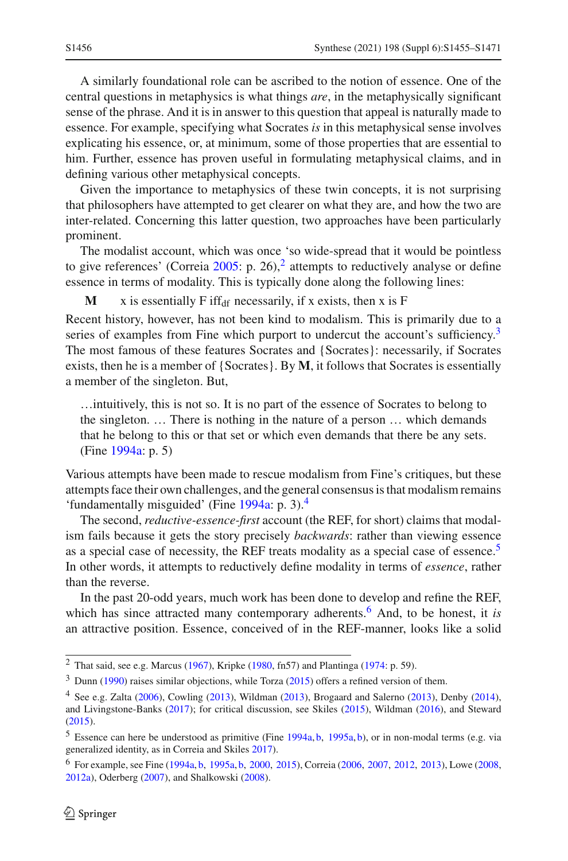A similarly foundational role can be ascribed to the notion of essence. One of the central questions in metaphysics is what things *are*, in the metaphysically significant sense of the phrase. And it is in answer to this question that appeal is naturally made to essence. For example, specifying what Socrates *is* in this metaphysical sense involves explicating his essence, or, at minimum, some of those properties that are essential to him. Further, essence has proven useful in formulating metaphysical claims, and in defining various other metaphysical concepts.

Given the importance to metaphysics of these twin concepts, it is not surprising that philosophers have attempted to get clearer on what they are, and how the two are inter-related. Concerning this latter question, two approaches have been particularly prominent.

The modalist account, which was once 'so wide-spread that it would be pointless to give references' (Correi[a](#page-14-2)  $2005$  $2005$ : p. 26),<sup>2</sup> attempts to reductively analyse or define essence in terms of modality. This is typically done along the following lines:

**M** x is essentially F iff<sub>df</sub> necessarily, if x exists, then x is F

Recent history, however, has not been kind to modalism. This is primarily due to a series of examples from Fine which purport to undercut the account's sufficiency.<sup>3</sup> The most famous of these features Socrates and {Socrates}: necessarily, if Socrates exists, then he is a member of {Socrates}. By **M**, it follows that Socrates is essentially a member of the singleton. But,

…intuitively, this is not so. It is no part of the essence of Socrates to belong to the singleton. … There is nothing in the nature of a person … which demands that he belong to this or that set or which even demands that there be any sets. (Fin[e](#page-14-3) [1994a:](#page-14-3) p. 5)

Various attempts have been made to rescue modalism from Fine's critiques, but these attempts face their own challenges, and the general consensus is that modalism remains 'fundamentally misguided' (Fin[e](#page-14-3) [1994a](#page-14-3): p. 3).[4](#page-1-2)

The second, *reductive-essence-first* account (the REF, for short) claims that modalism fails because it gets the story precisely *backwards*: rather than viewing essence as a special case of necessity, the REF treats modality as a special case of essence.<sup>[5](#page-1-3)</sup> In other words, it attempts to reductively define modality in terms of *essence*, rather than the reverse.

In the past 20-odd years, much work has been done to develop and refine the REF, which has since attracted many contemporary adherents.<sup>[6](#page-1-4)</sup> And, to be honest, it *is* an attractive position. Essence, conceived of in the REF-manner, looks like a solid

<span id="page-1-0"></span><sup>&</sup>lt;[s](#page-15-5)up>2</sup> That said, see e.g. Marcus [\(1967](#page-15-5)), Kripke [\(1980,](#page-15-6) fn57) and Plantinga [\(1974](#page-15-7): p. 59).

<span id="page-1-1"></span> $3$  Du[n](#page-14-4)n [\(1990](#page-14-4)) r[a](#page-16-0)ises similar objections, while Torza [\(2015\)](#page-16-0) offers a refined version of them.

<span id="page-1-2"></span><sup>4</sup> See e.g. Zalt[a](#page-16-1) [\(2006\)](#page-16-1), Cowlin[g](#page-14-5) [\(2013](#page-14-5)), Wildma[n](#page-16-2) [\(2013\)](#page-16-2), Brogaard and Salern[o](#page-14-6) [\(2013](#page-14-6)), Denb[y](#page-14-7) [\(2014](#page-14-7)), and Livingstone-Bank[s](#page-15-8) [\(2017\)](#page-15-8); for critical discussion, see Skile[s](#page-15-9) [\(2015\)](#page-15-9), Wildma[n](#page-16-3) [\(2016\)](#page-16-3), and Stewar[d](#page-16-4) [\(2015](#page-16-4)).

<span id="page-1-3"></span><sup>5</sup> Essence can here be understood as primitive (Fin[e](#page-14-3) [1994a,](#page-14-3) [b,](#page-14-8) [1995a](#page-14-9), [b](#page-14-10)), or in non-modal terms (e.g. via generalized identity, as in Correia and Skile[s](#page-14-11) [2017\)](#page-14-11).

<span id="page-1-4"></span><sup>6</sup> For example, see Fin[e](#page-14-3) [\(1994a](#page-14-3), [b](#page-14-8), [1995a,](#page-14-9) [b,](#page-14-10) [2000](#page-14-12), [2015\)](#page-14-13), Correi[a](#page-14-14) [\(2006](#page-14-14), [2007,](#page-14-15) [2012](#page-14-16), [2013\)](#page-14-17), Low[e](#page-15-10) [\(2008](#page-15-10), [2012a](#page-15-11)), Oderber[g](#page-15-12) [\(2007](#page-15-12)), and Shalkowsk[i](#page-15-13) [\(2008](#page-15-13)).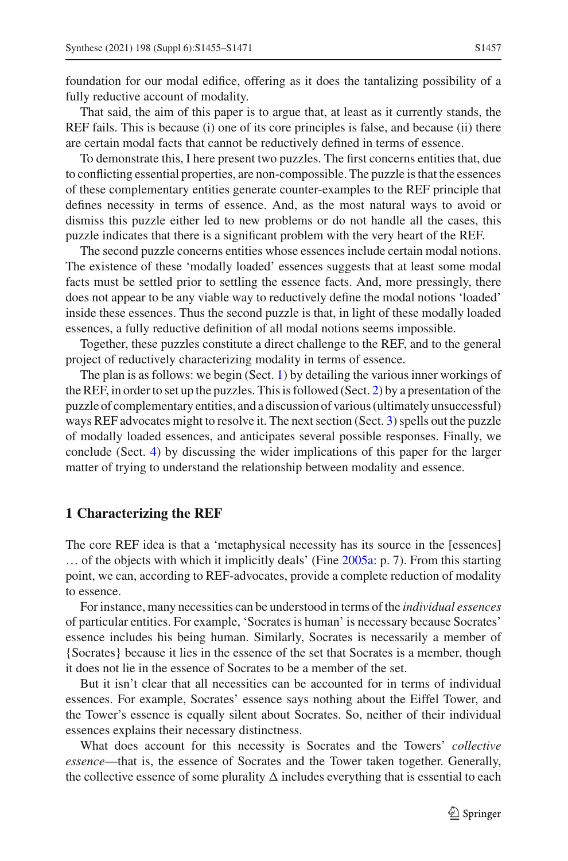foundation for our modal edifice, offering as it does the tantalizing possibility of a fully reductive account of modality.

That said, the aim of this paper is to argue that, at least as it currently stands, the REF fails. This is because (i) one of its core principles is false, and because (ii) there are certain modal facts that cannot be reductively defined in terms of essence.

To demonstrate this, I here present two puzzles. The first concerns entities that, due to conflicting essential properties, are non-compossible. The puzzle is that the essences of these complementary entities generate counter-examples to the REF principle that defines necessity in terms of essence. And, as the most natural ways to avoid or dismiss this puzzle either led to new problems or do not handle all the cases, this puzzle indicates that there is a significant problem with the very heart of the REF.

The second puzzle concerns entities whose essences include certain modal notions. The existence of these 'modally loaded' essences suggests that at least some modal facts must be settled prior to settling the essence facts. And, more pressingly, there does not appear to be any viable way to reductively define the modal notions 'loaded' inside these essences. Thus the second puzzle is that, in light of these modally loaded essences, a fully reductive definition of all modal notions seems impossible.

Together, these puzzles constitute a direct challenge to the REF, and to the general project of reductively characterizing modality in terms of essence.

The plan is as follows: we begin (Sect. [1\)](#page-2-0) by detailing the various inner workings of the REF, in order to set up the puzzles. This is followed (Sect. [2\)](#page-4-0) by a presentation of the puzzle of complementary entities, and a discussion of various (ultimately unsuccessful) ways REF advocates might to resolve it. The next section (Sect. [3\)](#page-9-0) spells out the puzzle of modally loaded essences, and anticipates several possible responses. Finally, we conclude (Sect. [4\)](#page-13-0) by discussing the wider implications of this paper for the larger matter of trying to understand the relationship between modality and essence.

#### <span id="page-2-0"></span>**1 Characterizing the REF**

The core REF idea is that a 'metaphysical necessity has its source in the [essences] … of the objects with which it implicitly deals' (Fin[e](#page-14-18) [2005a](#page-14-18): p. 7). From this starting point, we can, according to REF-advocates, provide a complete reduction of modality to essence.

For instance, many necessities can be understood in terms of the *individual essences* of particular entities. For example, 'Socrates is human' is necessary because Socrates' essence includes his being human. Similarly, Socrates is necessarily a member of {Socrates} because it lies in the essence of the set that Socrates is a member, though it does not lie in the essence of Socrates to be a member of the set.

But it isn't clear that all necessities can be accounted for in terms of individual essences. For example, Socrates' essence says nothing about the Eiffel Tower, and the Tower's essence is equally silent about Socrates. So, neither of their individual essences explains their necessary distinctness.

What does account for this necessity is Socrates and the Towers' *collective essence*—that is, the essence of Socrates and the Tower taken together. Generally, the collective essence of some plurality  $\Delta$  includes everything that is essential to each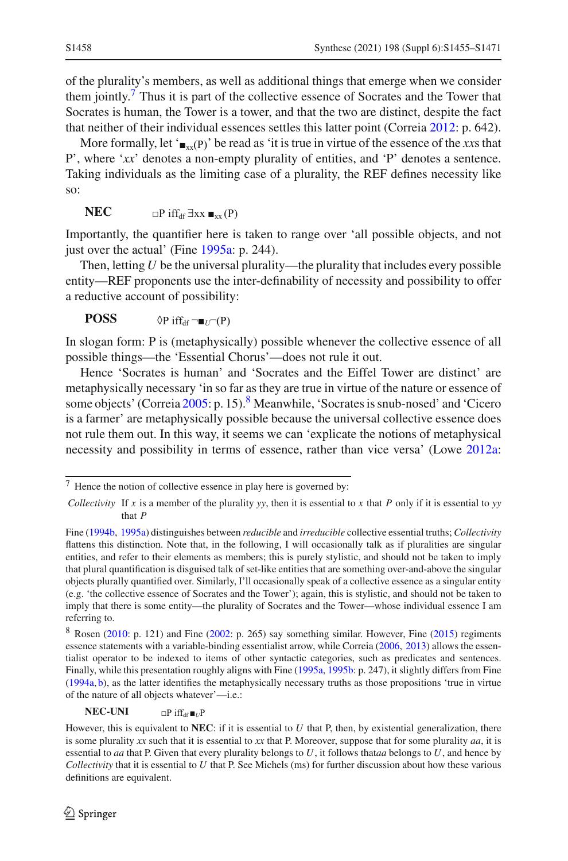of the plurality's members, as well as additional things that emerge when we consider them jointly.<sup>[7](#page-3-0)</sup> Thus it is part of the collective essence of Socrates and the Tower that Socrates is human, the Tower is a tower, and that the two are distinct, despite the fact that neither of their individual essences settles this latter point (Correi[a](#page-14-16) [2012:](#page-14-16) p. 642).

More formally, let ' $_{\blacksquare_{xx}}(P)$ ' be read as 'it is true in virtue of the essence of the *xx*s that P', where '*xx*' denotes a non-empty plurality of entities, and 'P' denotes a sentence. Taking individuals as the limiting case of a plurality, the REF defines necessity like so:

$$
\mathbf{NEC} \qquad \qquad \square P \text{ iff}_{\text{df}} \exists xx \blacksquare_{xx}(P)
$$

Importantly, the quantifier here is taken to range over 'all possible objects, and not just ov[e](#page-14-9)r the actual' (Fine [1995a:](#page-14-9) p. 244).

Then, letting *U* be the universal plurality—the plurality that includes every possible entity—REF proponents use the inter-definability of necessity and possibility to offer a reductive account of possibility:

**POSS**  $\Diamond P$  iff<sub>df</sub>  $\neg$   $\neg$   $\neg$   $(P)$ 

In slogan form: P is (metaphysically) possible whenever the collective essence of all possible things—the 'Essential Chorus'—does not rule it out.

Hence 'Socrates is human' and 'Socrates and the Eiffel Tower are distinct' are metaphysically necessary 'in so far as they are true in virtue of the nature or essence of some objects' (Correi[a](#page-14-2) [2005](#page-14-2): p. 15).<sup>[8](#page-3-1)</sup> Meanwhile, 'Socrates is snub-nosed' and 'Cicero is a farmer' are metaphysically possible because the universal collective essence does not rule them out. In this way, it seems we can 'explicate the notions of metaphysical necessity and possibility in terms of essence, rather than vice versa' (Low[e](#page-15-11) [2012a](#page-15-11):

 $NEC-UNI$   $\Box P$  iff<sub>df</sub>  $\blacksquare$ *UP* 

<span id="page-3-0"></span> $7$  Hence the notion of collective essence in play here is governed by:

*Collectivity* If *x* is a member of the plurality *yy*, then it is essential to *x* that *P* only if it is essential to *yy* that *P*

Fin[e](#page-14-8) [\(1994b,](#page-14-8) [1995a\)](#page-14-9) distinguishes between *reducible* and *irreducible* collective essential truths; *Collectivity* flattens this distinction. Note that, in the following, I will occasionally talk as if pluralities are singular entities, and refer to their elements as members; this is purely stylistic, and should not be taken to imply that plural quantification is disguised talk of set-like entities that are something over-and-above the singular objects plurally quantified over. Similarly, I'll occasionally speak of a collective essence as a singular entity (e.g. 'the collective essence of Socrates and the Tower'); again, this is stylistic, and should not be taken to imply that there is some entity—the plurality of Socrates and the Tower—whose individual essence I am referring to.

<span id="page-3-1"></span><sup>8</sup> Rosen [\(2010:](#page-15-14) p. 121) and Fine [\(2002](#page-14-0): p. 265) say something similar. However, Fin[e](#page-14-13) [\(2015\)](#page-14-13) regiments essence statements with a variable-binding essentialist arrow, while Correi[a](#page-14-14) [\(2006](#page-14-14), [2013](#page-14-17)) allows the essentialist operator to be indexed to items of other syntactic categories, such as predicates and sentences. Finally, while this presentation roughly aligns with Fine [\(1995a](#page-14-9), [1995b:](#page-14-10) p. 247), it slightly differs from Fin[e](#page-14-3) [\(1994a,](#page-14-3) [b\)](#page-14-8), as the latter identifies the metaphysically necessary truths as those propositions 'true in virtue of the nature of all objects whatever'—i.e.:

However, this is equivalent to **NEC**: if it is essential to *U* that P, then, by existential generalization, there is some plurality *xx* such that it is essential to *xx* that P. Moreover, suppose that for some plurality *aa*, it is essential to *aa* that P. Given that every plurality belongs to *U*, it follows that*aa* belongs to *U*, and hence by *Collectivity* that it is essential to *U* that P. See Michels (ms) for further discussion about how these various definitions are equivalent.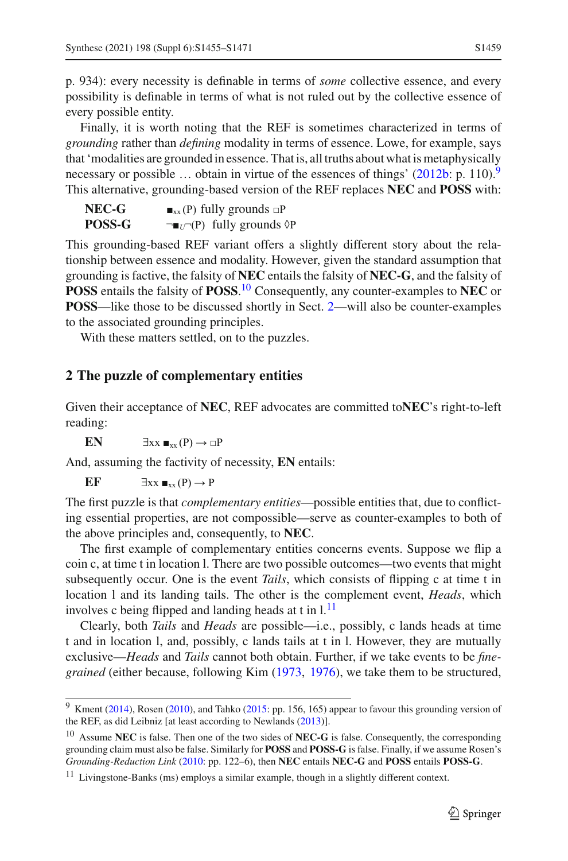p. 934): every necessity is definable in terms of *some* collective essence, and every possibility is definable in terms of what is not ruled out by the collective essence of every possible entity.

Finally, it is worth noting that the REF is sometimes characterized in terms of *grounding* rather than *defining* modality in terms of essence. Lowe, for example, says that 'modalities are grounded in essence. That is, all truths about what is metaphysically necessary or possible ... obtain in virtue of the essences of things'  $(2012b: p. 110)^9$  $(2012b: p. 110)^9$  $(2012b: p. 110)^9$ This alternative, grounding-based version of the REF replaces **NEC** and **POSS** with:

| NEC-G  | $\blacksquare_{xx}$ (P) fully grounds $\Box P$                |
|--------|---------------------------------------------------------------|
| POSS-G | $\neg$ $\blacksquare_U$ $\neg$ (P) fully grounds $\lozenge$ P |

This grounding-based REF variant offers a slightly different story about the relationship between essence and modality. However, given the standard assumption that grounding is factive, the falsity of **NEC** entails the falsity of **NEC-G**, and the falsity of **POSS** entails the falsity of **POSS**. [10](#page-4-2) Consequently, any counter-examples to **NEC** or **POSS**—like those to be discussed shortly in Sect. [2—](#page-4-0)will also be counter-examples to the associated grounding principles.

With these matters settled, on to the puzzles.

### <span id="page-4-0"></span>**2 The puzzle of complementary entities**

Given their acceptance of **NEC**, REF advocates are committed to**NEC**'s right-to-left reading:

**EN**  $\exists xx \blacksquare_{xx}(P) \rightarrow \square P$ 

And, assuming the factivity of necessity, **EN** entails:

EF  $\exists xx \blacksquare_{xx}(P) \rightarrow P$ 

The first puzzle is that *complementary entities*—possible entities that, due to conflicting essential properties, are not compossible—serve as counter-examples to both of the above principles and, consequently, to **NEC**.

The first example of complementary entities concerns events. Suppose we flip a coin c, at time t in location l. There are two possible outcomes—two events that might subsequently occur. One is the event *Tails*, which consists of flipping c at time t in location l and its landing tails. The other is the complement event, *Heads*, which involves c being flipped and landing heads at  $t$  in  $l<sup>11</sup>$  $l<sup>11</sup>$  $l<sup>11</sup>$ 

Clearly, both *Tails* and *Heads* are possible—i.e., possibly, c lands heads at time t and in location l, and, possibly, c lands tails at t in l. However, they are mutually exclusive—*Heads* and *Tails* cannot both obtain. Further, if we take events to be *finegrained* (either because, following Ki[m](#page-15-16) [\(1973,](#page-15-16) [1976\)](#page-15-17), we take them to be structured,

<span id="page-4-1"></span><sup>&</sup>lt;sup>9</sup> Kmen[t](#page-15-4) [\(2014\)](#page-15-4), Rosen [\(2010\)](#page-15-14), and Tahko [\(2015:](#page-16-5) pp. 156, 165) appear to favour this grounding version of the REF, as did Leibniz [at least according to Newland[s](#page-15-18) [\(2013](#page-15-18))].

<span id="page-4-2"></span><sup>10</sup> Assume **NEC** is false. Then one of the two sides of **NEC-G** is false. Consequently, the corresponding grounding claim must also be false. Similarly for **POSS** and **POSS-G** is false. Finally, if we assume Rosen's *Grounding-Reduction Link* [\(2010](#page-15-14): pp. 122–6), then **NEC** entails **NEC-G** and **POSS** entails **POSS-G**.

<span id="page-4-3"></span><sup>&</sup>lt;sup>11</sup> Livingstone-Banks (ms) employs a similar example, though in a slightly different context.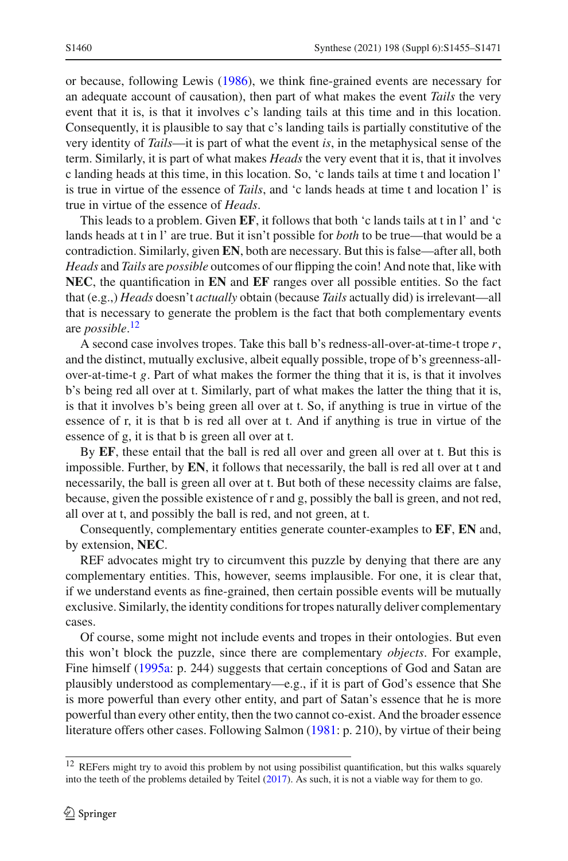or because, following Lewi[s](#page-15-19) [\(1986\)](#page-15-19), we think fine-grained events are necessary for an adequate account of causation), then part of what makes the event *Tails* the very event that it is, is that it involves c's landing tails at this time and in this location. Consequently, it is plausible to say that c's landing tails is partially constitutive of the very identity of *Tails*—it is part of what the event *is*, in the metaphysical sense of the term. Similarly, it is part of what makes *Heads* the very event that it is, that it involves c landing heads at this time, in this location. So, 'c lands tails at time t and location l' is true in virtue of the essence of *Tails*, and 'c lands heads at time t and location l' is true in virtue of the essence of *Heads*.

This leads to a problem. Given **EF**, it follows that both 'c lands tails at t in l' and 'c lands heads at t in l' are true. But it isn't possible for *both* to be true—that would be a contradiction. Similarly, given **EN**, both are necessary. But this is false—after all, both *Heads* and *Tails* are *possible* outcomes of our flipping the coin! And note that, like with **NEC**, the quantification in **EN** and **EF** ranges over all possible entities. So the fact that (e.g.,) *Heads* doesn't *actually* obtain (because *Tails* actually did) is irrelevant—all that is necessary to generate the problem is the fact that both complementary events are *possible*. [12](#page-5-0)

A second case involves tropes. Take this ball b's redness-all-over-at-time-t trope *r*, and the distinct, mutually exclusive, albeit equally possible, trope of b's greenness-allover-at-time-t *g*. Part of what makes the former the thing that it is, is that it involves b's being red all over at t. Similarly, part of what makes the latter the thing that it is, is that it involves b's being green all over at t. So, if anything is true in virtue of the essence of r, it is that b is red all over at t. And if anything is true in virtue of the essence of g, it is that b is green all over at t.

By **EF**, these entail that the ball is red all over and green all over at t. But this is impossible. Further, by **EN**, it follows that necessarily, the ball is red all over at t and necessarily, the ball is green all over at t. But both of these necessity claims are false, because, given the possible existence of r and g, possibly the ball is green, and not red, all over at t, and possibly the ball is red, and not green, at t.

Consequently, complementary entities generate counter-examples to **EF**, **EN** and, by extension, **NEC**.

REF advocates might try to circumvent this puzzle by denying that there are any complementary entities. This, however, seems implausible. For one, it is clear that, if we understand events as fine-grained, then certain possible events will be mutually exclusive. Similarly, the identity conditions for tropes naturally deliver complementary cases.

Of course, some might not include events and tropes in their ontologies. But even this won't block the puzzle, since there are complementary *objects*. For example, Fine himself [\(1995a:](#page-14-9) p. 244) suggests that certain conceptions of God and Satan are plausibly understood as complementary—e.g., if it is part of God's essence that She is more powerful than every other entity, and part of Satan's essence that he is more powerful than every other entity, then the two cannot co-exist. And the broader essence literature offers other cases. Following Salmon [\(1981](#page-15-20): p. 210), by virtue of their being

<span id="page-5-0"></span><sup>12</sup> REFers might try to avoid this problem by not using possibilist quantification, but this walks squarely into the teeth of the problems detailed by Teite[l](#page-16-6) [\(2017](#page-16-6)). As such, it is not a viable way for them to go.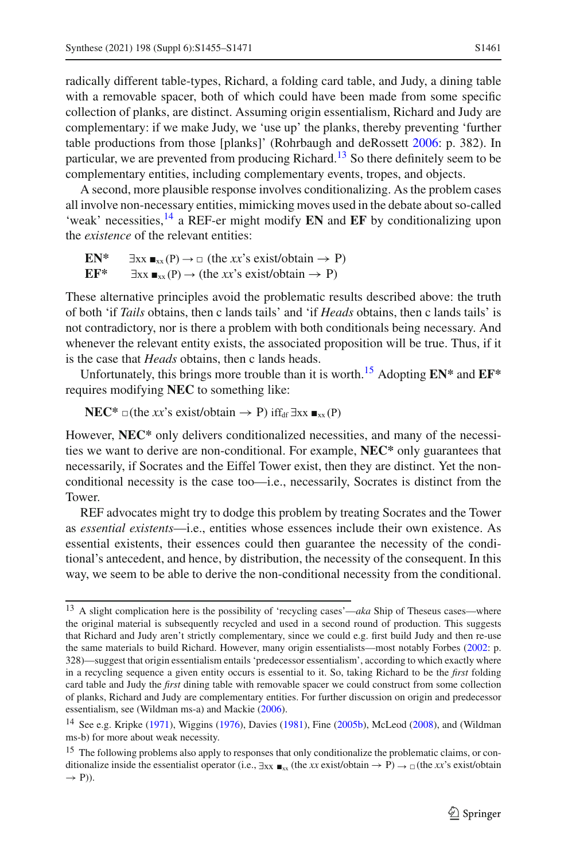radically different table-types, Richard, a folding card table, and Judy, a dining table with a removable spacer, both of which could have been made from some specific collection of planks, are distinct. Assuming origin essentialism, Richard and Judy are complementary: if we make Judy, we 'use up' the planks, thereby preventing 'further table productions from those [planks]' (Rohrbaugh and deRosset[t](#page-15-21) [2006](#page-15-21): p. 382). In particular, we are prevented from producing Richard.<sup>[13](#page-6-0)</sup> So there definitely seem to be complementary entities, including complementary events, tropes, and objects.

A second, more plausible response involves conditionalizing. As the problem cases all involve non-necessary entities, mimicking moves used in the debate about so-called 'weak' necessities,[14](#page-6-1) a REF-er might modify **EN** and **EF** by conditionalizing upon the *existence* of the relevant entities:

```
EN* \exists xx \blacksquare_{xx}(P) \rightarrow \square (the xx's exist/obtain \rightarrow P)<br>EF* \exists xx \blacksquare_{xx}(P) \rightarrow (the xx's exist/obtain \rightarrow P)
             \exists xx \blacksquare_{xx}(P) \rightarrow (the xx's exist/obtain \rightarrow P)
```
These alternative principles avoid the problematic results described above: the truth of both 'if *Tails* obtains, then c lands tails' and 'if *Heads* obtains, then c lands tails' is not contradictory, nor is there a problem with both conditionals being necessary. And whenever the relevant entity exists, the associated proposition will be true. Thus, if it is the case that *Heads* obtains, then c lands heads.

Unfortunately, this brings more trouble than it is worth.[15](#page-6-2) Adopting **EN\*** and **EF\*** requires modifying **NEC** to something like:

**NEC<sup>\*</sup>** □(the *xx*'s exist/obtain  $\rightarrow$  P) iff<sub>df</sub>  $\exists$ xx  $\blacksquare$ <sub>xx</sub>(P)

However, **NEC\*** only delivers conditionalized necessities, and many of the necessities we want to derive are non-conditional. For example, **NEC\*** only guarantees that necessarily, if Socrates and the Eiffel Tower exist, then they are distinct. Yet the nonconditional necessity is the case too—i.e., necessarily, Socrates is distinct from the Tower.

REF advocates might try to dodge this problem by treating Socrates and the Tower as *essential existents*—i.e., entities whose essences include their own existence. As essential existents, their essences could then guarantee the necessity of the conditional's antecedent, and hence, by distribution, the necessity of the consequent. In this way, we seem to be able to derive the non-conditional necessity from the conditional.

<span id="page-6-0"></span><sup>13</sup> A slight complication here is the possibility of 'recycling cases'—*aka* Ship of Theseus cases—where the original material is subsequently recycled and used in a second round of production. This suggests that Richard and Judy aren't strictly complementary, since we could e.g. first build Judy and then re-use the same materials to build Richard. However, many origin essentialists—most notably Forbes [\(2002](#page-14-19): p. 328)—suggest that origin essentialism entails 'predecessor essentialism', according to which exactly where in a recycling sequence a given entity occurs is essential to it. So, taking Richard to be the *first* folding card table and Judy the *first* dining table with removable spacer we could construct from some collection of planks, Richard and Judy are complementary entities. For further discussion on origin and predecessor essentialism, see (Wildman ms-a) and Macki[e](#page-15-22) [\(2006\)](#page-15-22).

<span id="page-6-1"></span><sup>&</sup>lt;sup>14</sup> S[e](#page-14-21)e e.g. Kripke [\(1971](#page-15-23)), Wiggin[s](#page-14-20) [\(1976\)](#page-16-7), Davies [\(1981](#page-14-20)), Fine [\(2005b\)](#page-14-21), McLeod [\(2008\)](#page-15-24), and (Wildman ms-b) for more about weak necessity.

<span id="page-6-2"></span><sup>&</sup>lt;sup>15</sup> The following problems also apply to responses that only conditionalize the problematic claims, or conditionalize inside the essentialist operator (i.e.,  $\exists xx \blacksquare_{xx}$  (the *xx* exist/obtain  $\rightarrow$  P)  $\rightarrow$   $\Box$  (the *xx*'s exist/obtain  $\rightarrow$  P)).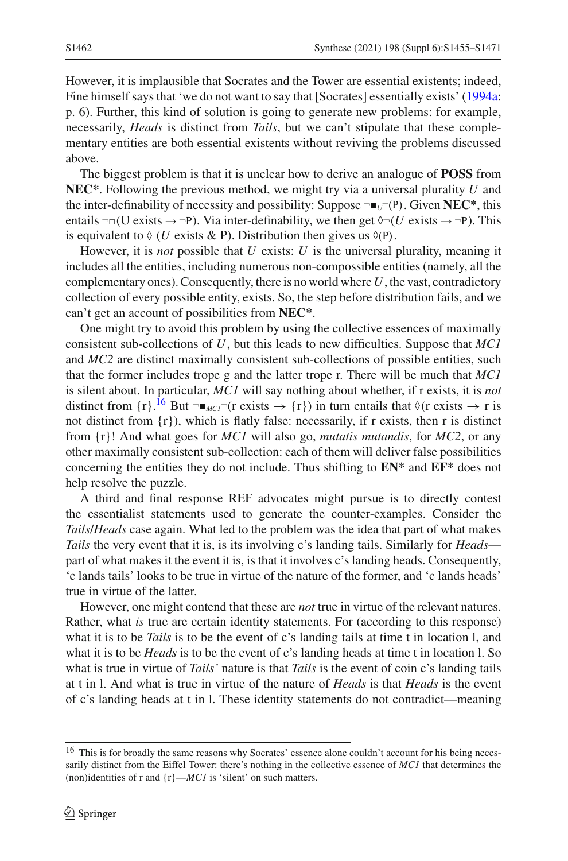However, it is implausible that Socrates and the Tower are essential existents; indeed, Fine himself says that 'we do not want to say that [Socrates] essentially exists' [\(1994a](#page-14-3): p. 6). Further, this kind of solution is going to generate new problems: for example, necessarily, *Heads* is distinct from *Tails*, but we can't stipulate that these complementary entities are both essential existents without reviving the problems discussed above.

The biggest problem is that it is unclear how to derive an analogue of **POSS** from **NEC\***. Following the previous method, we might try via a universal plurality *U* and the inter-definability of necessity and possibility: Suppose  $\neg$   $\blacksquare$ <sub>*U*</sub> $\neg$ (P). Given **NEC**<sup>\*</sup>, this entails  $\neg$  U exists  $\rightarrow$   $\neg$ P). Via inter-definability, we then get  $\Diamond$   $\neg$  (*U* exists  $\rightarrow$   $\neg$ P). This is equivalent to  $\Diamond$  (*U* exists & P). Distribution then gives us  $\Diamond$ (P).

However, it is *not* possible that *U* exists: *U* is the universal plurality, meaning it includes all the entities, including numerous non-compossible entities (namely, all the complementary ones). Consequently, there is no world where*U*, the vast, contradictory collection of every possible entity, exists. So, the step before distribution fails, and we can't get an account of possibilities from **NEC\***.

One might try to avoid this problem by using the collective essences of maximally consistent sub-collections of *U*, but this leads to new difficulties. Suppose that *MC1* and *MC2* are distinct maximally consistent sub-collections of possible entities, such that the former includes trope g and the latter trope r. There will be much that *MC1* is silent about. In particular, *MC1* will say nothing about whether, if r exists, it is *not* distinct from  $\{r\}$ .<sup>[16](#page-7-0)</sup> But  $\neg$   $\blacksquare$ *MCl*  $\lnot$  (r exists  $\rightarrow \{r\}$ ) in turn entails that  $\Diamond$ (r exists  $\rightarrow$  r is not distinct from  $\{r\}$ , which is flatly false: necessarily, if r exists, then r is distinct from {r}! And what goes for *MC1* will also go, *mutatis mutandis*, for *MC2*, or any other maximally consistent sub-collection: each of them will deliver false possibilities concerning the entities they do not include. Thus shifting to **EN\*** and **EF\*** does not help resolve the puzzle.

A third and final response REF advocates might pursue is to directly contest the essentialist statements used to generate the counter-examples. Consider the *Tails*/*Heads* case again. What led to the problem was the idea that part of what makes *Tails* the very event that it is, is its involving c's landing tails. Similarly for *Heads* part of what makes it the event it is, is that it involves c's landing heads. Consequently, 'c lands tails' looks to be true in virtue of the nature of the former, and 'c lands heads' true in virtue of the latter.

However, one might contend that these are *not* true in virtue of the relevant natures. Rather, what *is* true are certain identity statements. For (according to this response) what it is to be *Tails* is to be the event of c's landing tails at time t in location l, and what it is to be *Heads* is to be the event of c's landing heads at time t in location l. So what is true in virtue of *Tails'* nature is that *Tails* is the event of coin c's landing tails at t in l. And what is true in virtue of the nature of *Heads* is that *Heads* is the event of c's landing heads at t in l. These identity statements do not contradict—meaning

<span id="page-7-0"></span><sup>&</sup>lt;sup>16</sup> This is for broadly the same reasons why Socrates' essence alone couldn't account for his being necessarily distinct from the Eiffel Tower: there's nothing in the collective essence of *MC1* that determines the (non)identities of r and  $\{r\}$ —*MC1* is 'silent' on such matters.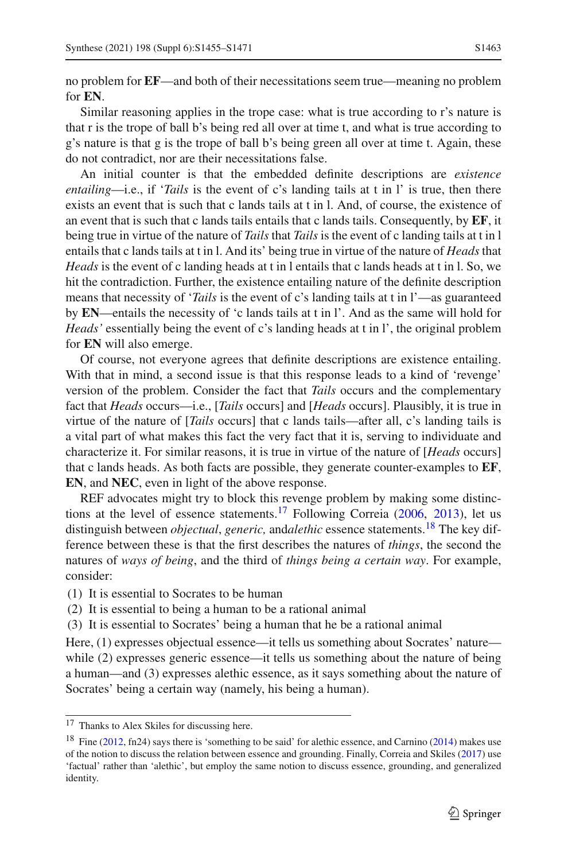no problem for **EF**—and both of their necessitations seem true—meaning no problem for **EN**.

Similar reasoning applies in the trope case: what is true according to r's nature is that r is the trope of ball b's being red all over at time t, and what is true according to g's nature is that g is the trope of ball b's being green all over at time t. Again, these do not contradict, nor are their necessitations false.

An initial counter is that the embedded definite descriptions are *existence entailing*—i.e., if '*Tails* is the event of c's landing tails at t in l' is true, then there exists an event that is such that c lands tails at t in l. And, of course, the existence of an event that is such that c lands tails entails that c lands tails. Consequently, by **EF**, it being true in virtue of the nature of *Tails* that *Tails* is the event of c landing tails at t in l entails that c lands tails at t in l. And its' being true in virtue of the nature of *Heads* that *Heads* is the event of c landing heads at t in l entails that c lands heads at t in l. So, we hit the contradiction. Further, the existence entailing nature of the definite description means that necessity of '*Tails* is the event of c's landing tails at t in l'—as guaranteed by **EN**—entails the necessity of 'c lands tails at t in l'. And as the same will hold for *Heads'* essentially being the event of c's landing heads at t in l', the original problem for **EN** will also emerge.

Of course, not everyone agrees that definite descriptions are existence entailing. With that in mind, a second issue is that this response leads to a kind of 'revenge' version of the problem. Consider the fact that *Tails* occurs and the complementary fact that *Heads* occurs—i.e., [*Tails* occurs] and [*Heads* occurs]. Plausibly, it is true in virtue of the nature of [*Tails* occurs] that c lands tails—after all, c's landing tails is a vital part of what makes this fact the very fact that it is, serving to individuate and characterize it. For similar reasons, it is true in virtue of the nature of [*Heads* occurs] that c lands heads. As both facts are possible, they generate counter-examples to **EF**, **EN**, and **NEC**, even in light of the above response.

REF advocates might try to block this revenge problem by making some distinctions [a](#page-14-14)t the level of essence statements.<sup>17</sup> Following Correia [\(2006](#page-14-14), [2013\)](#page-14-17), let us distinguish between *objectual*, *generic*, and *alethic* essence statements.<sup>18</sup> The key difference between these is that the first describes the natures of *things*, the second the natures of *ways of being*, and the third of *things being a certain way*. For example, consider:

(1) It is essential to Socrates to be human

- (2) It is essential to being a human to be a rational animal
- (3) It is essential to Socrates' being a human that he be a rational animal

Here, (1) expresses objectual essence—it tells us something about Socrates' nature while (2) expresses generic essence—it tells us something about the nature of being a human—and (3) expresses alethic essence, as it says something about the nature of Socrates' being a certain way (namely, his being a human).

<span id="page-8-0"></span><sup>&</sup>lt;sup>17</sup> Thanks to Alex Skiles for discussing here.

<span id="page-8-1"></span><sup>&</sup>lt;sup>18</sup> Fine [\(2012,](#page-14-22) fn24) says there is 's[o](#page-14-23)mething to be said' for alethic essence, and Carnino [\(2014](#page-14-23)) makes use of the notion to discuss the relation between essence and grounding. Finally, Correia and Skile[s](#page-14-11) [\(2017\)](#page-14-11) use 'factual' rather than 'alethic', but employ the same notion to discuss essence, grounding, and generalized identity.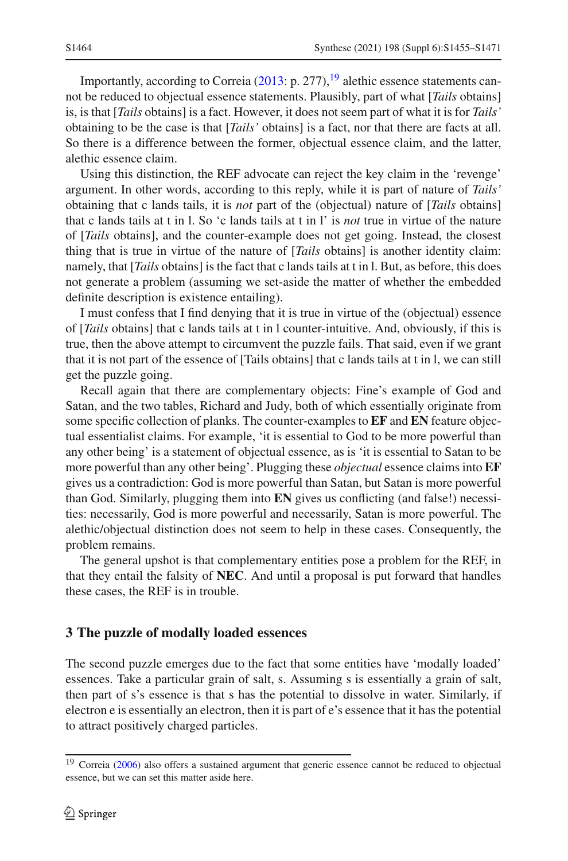Importantly, according to Correia  $(2013: p. 277)$  $(2013: p. 277)$ , <sup>19</sup> alethic essence statements cannot be reduced to objectual essence statements. Plausibly, part of what [*Tails* obtains] is, is that [*Tails* obtains] is a fact. However, it does not seem part of what it is for *Tails'* obtaining to be the case is that [*Tails'* obtains] is a fact, nor that there are facts at all. So there is a difference between the former, objectual essence claim, and the latter, alethic essence claim.

Using this distinction, the REF advocate can reject the key claim in the 'revenge' argument. In other words, according to this reply, while it is part of nature of *Tails'* obtaining that c lands tails, it is *not* part of the (objectual) nature of [*Tails* obtains] that c lands tails at t in l. So 'c lands tails at t in l' is *not* true in virtue of the nature of [*Tails* obtains], and the counter-example does not get going. Instead, the closest thing that is true in virtue of the nature of [*Tails* obtains] is another identity claim: namely, that [*Tails* obtains] is the fact that c lands tails at t in l. But, as before, this does not generate a problem (assuming we set-aside the matter of whether the embedded definite description is existence entailing).

I must confess that I find denying that it is true in virtue of the (objectual) essence of [*Tails* obtains] that c lands tails at t in l counter-intuitive. And, obviously, if this is true, then the above attempt to circumvent the puzzle fails. That said, even if we grant that it is not part of the essence of [Tails obtains] that c lands tails at t in l, we can still get the puzzle going.

Recall again that there are complementary objects: Fine's example of God and Satan, and the two tables, Richard and Judy, both of which essentially originate from some specific collection of planks. The counter-examples to **EF** and **EN** feature objectual essentialist claims. For example, 'it is essential to God to be more powerful than any other being' is a statement of objectual essence, as is 'it is essential to Satan to be more powerful than any other being'. Plugging these *objectual* essence claims into **EF** gives us a contradiction: God is more powerful than Satan, but Satan is more powerful than God. Similarly, plugging them into **EN** gives us conflicting (and false!) necessities: necessarily, God is more powerful and necessarily, Satan is more powerful. The alethic/objectual distinction does not seem to help in these cases. Consequently, the problem remains.

The general upshot is that complementary entities pose a problem for the REF, in that they entail the falsity of **NEC**. And until a proposal is put forward that handles these cases, the REF is in trouble.

#### <span id="page-9-0"></span>**3 The puzzle of modally loaded essences**

The second puzzle emerges due to the fact that some entities have 'modally loaded' essences. Take a particular grain of salt, s. Assuming s is essentially a grain of salt, then part of s's essence is that s has the potential to dissolve in water. Similarly, if electron e is essentially an electron, then it is part of e's essence that it has the potential to attract positively charged particles.

<span id="page-9-1"></span><sup>&</sup>lt;sup>19</sup> Correi[a](#page-14-14) [\(2006](#page-14-14)) also offers a sustained argument that generic essence cannot be reduced to objectual essence, but we can set this matter aside here.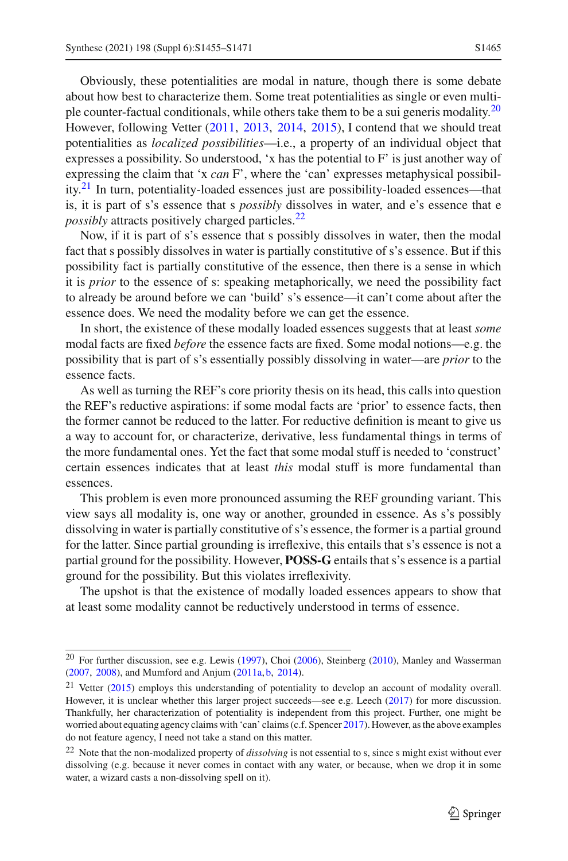Obviously, these potentialities are modal in nature, though there is some debate about how best to characterize them. Some treat potentialities as single or even multi-ple counter-factual conditionals, while others take them to be a sui generis modality.<sup>[20](#page-10-0)</sup> However, following Vette[r](#page-16-8) [\(2011](#page-16-8), [2013](#page-16-9), [2014,](#page-16-10) [2015\)](#page-16-11), I contend that we should treat potentialities as *localized possibilities*—i.e., a property of an individual object that expresses a possibility. So understood, 'x has the potential to F' is just another way of expressing the claim that 'x *can* F', where the 'can' expresses metaphysical possibility.[21](#page-10-1) In turn, potentiality-loaded essences just are possibility-loaded essences—that is, it is part of s's essence that s *possibly* dissolves in water, and e's essence that e *possibly* attracts positively charged particles.<sup>[22](#page-10-2)</sup>

Now, if it is part of s's essence that s possibly dissolves in water, then the modal fact that s possibly dissolves in water is partially constitutive of s's essence. But if this possibility fact is partially constitutive of the essence, then there is a sense in which it is *prior* to the essence of s: speaking metaphorically, we need the possibility fact to already be around before we can 'build' s's essence—it can't come about after the essence does. We need the modality before we can get the essence.

In short, the existence of these modally loaded essences suggests that at least *some* modal facts are fixed *before* the essence facts are fixed. Some modal notions—e.g. the possibility that is part of s's essentially possibly dissolving in water—are *prior* to the essence facts.

As well as turning the REF's core priority thesis on its head, this calls into question the REF's reductive aspirations: if some modal facts are 'prior' to essence facts, then the former cannot be reduced to the latter. For reductive definition is meant to give us a way to account for, or characterize, derivative, less fundamental things in terms of the more fundamental ones. Yet the fact that some modal stuff is needed to 'construct' certain essences indicates that at least *this* modal stuff is more fundamental than essences.

This problem is even more pronounced assuming the REF grounding variant. This view says all modality is, one way or another, grounded in essence. As s's possibly dissolving in water is partially constitutive of s's essence, the former is a partial ground for the latter. Since partial grounding is irreflexive, this entails that s's essence is not a partial ground for the possibility. However, **POSS-G** entails that s's essence is a partial ground for the possibility. But this violates irreflexivity.

The upshot is that the existence of modally loaded essences appears to show that at least some modality cannot be reductively understood in terms of essence.

<span id="page-10-0"></span><sup>20</sup> For further discussion, see e.g. Lewi[s](#page-15-25) [\(1997](#page-15-25)), Cho[i](#page-14-24) [\(2006\)](#page-14-24), Steinber[g](#page-15-26) [\(2010](#page-15-26)), Manley and Wasserma[n](#page-15-27) [\(2007](#page-15-27), [2008](#page-15-28)), and Mumford and Anju[m](#page-15-29) [\(2011a,](#page-15-29) [b,](#page-15-30) [2014\)](#page-15-31).

<span id="page-10-1"></span><sup>21</sup> Vette[r](#page-16-11) [\(2015\)](#page-16-11) employs this understanding of potentiality to develop an account of modality overall. However, it is unclear whether this larger project succeeds—see e.g. Leec[h](#page-15-32) [\(2017\)](#page-15-32) for more discussion. Thankfully, her characterization of potentiality is independent from this project. Further, one might be wo[r](#page-15-33)ried about equating agency claims with 'can' claims (c.f. Spencer [2017\)](#page-15-33). However, as the above examples do not feature agency, I need not take a stand on this matter.

<span id="page-10-2"></span><sup>22</sup> Note that the non-modalized property of *dissolving* is not essential to s, since s might exist without ever dissolving (e.g. because it never comes in contact with any water, or because, when we drop it in some water, a wizard casts a non-dissolving spell on it).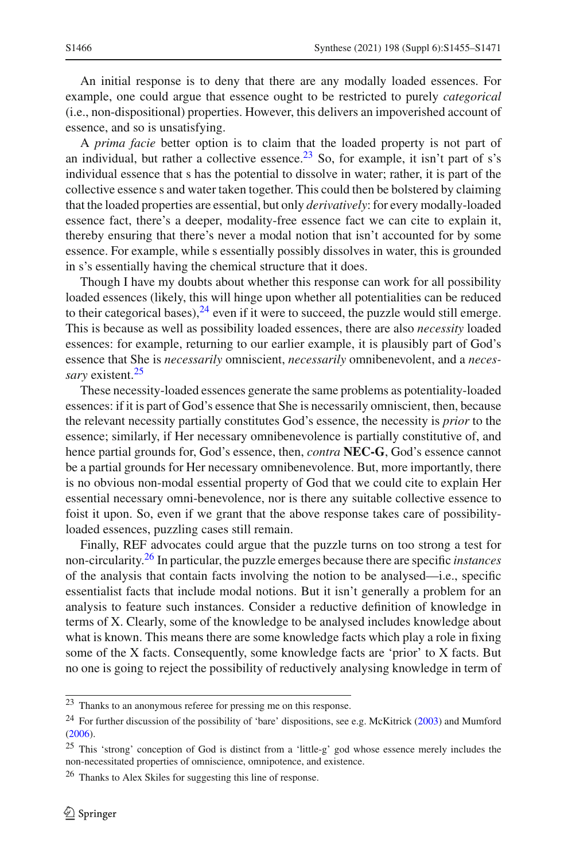An initial response is to deny that there are any modally loaded essences. For example, one could argue that essence ought to be restricted to purely *categorical* (i.e., non-dispositional) properties. However, this delivers an impoverished account of essence, and so is unsatisfying.

A *prima facie* better option is to claim that the loaded property is not part of an individual, but rather a collective essence.<sup>[23](#page-11-0)</sup> So, for example, it isn't part of s's individual essence that s has the potential to dissolve in water; rather, it is part of the collective essence s and water taken together. This could then be bolstered by claiming that the loaded properties are essential, but only *derivatively*: for every modally-loaded essence fact, there's a deeper, modality-free essence fact we can cite to explain it, thereby ensuring that there's never a modal notion that isn't accounted for by some essence. For example, while s essentially possibly dissolves in water, this is grounded in s's essentially having the chemical structure that it does.

Though I have my doubts about whether this response can work for all possibility loaded essences (likely, this will hinge upon whether all potentialities can be reduced to their categorical bases), $^{24}$  even if it were to succeed, the puzzle would still emerge. This is because as well as possibility loaded essences, there are also *necessity* loaded essences: for example, returning to our earlier example, it is plausibly part of God's essence that She is *necessarily* omniscient, *necessarily* omnibenevolent, and a *necessary* existent.[25](#page-11-2)

These necessity-loaded essences generate the same problems as potentiality-loaded essences: if it is part of God's essence that She is necessarily omniscient, then, because the relevant necessity partially constitutes God's essence, the necessity is *prior* to the essence; similarly, if Her necessary omnibenevolence is partially constitutive of, and hence partial grounds for, God's essence, then, *contra* **NEC-G**, God's essence cannot be a partial grounds for Her necessary omnibenevolence. But, more importantly, there is no obvious non-modal essential property of God that we could cite to explain Her essential necessary omni-benevolence, nor is there any suitable collective essence to foist it upon. So, even if we grant that the above response takes care of possibilityloaded essences, puzzling cases still remain.

Finally, REF advocates could argue that the puzzle turns on too strong a test for non-circularity.[26](#page-11-3) In particular, the puzzle emerges because there are specific *instances* of the analysis that contain facts involving the notion to be analysed—i.e., specific essentialist facts that include modal notions. But it isn't generally a problem for an analysis to feature such instances. Consider a reductive definition of knowledge in terms of X. Clearly, some of the knowledge to be analysed includes knowledge about what is known. This means there are some knowledge facts which play a role in fixing some of the X facts. Consequently, some knowledge facts are 'prior' to X facts. But no one is going to reject the possibility of reductively analysing knowledge in term of

<span id="page-11-0"></span><sup>23</sup> Thanks to an anonymous referee for pressing me on this response.

<span id="page-11-1"></span><sup>&</sup>lt;sup>24</sup> For further discussion of the possibility of 'bare' dispositions, see e.g. McKitric[k](#page-15-34) [\(2003](#page-15-34)) an[d](#page-15-35) Mumford [\(2006](#page-15-35)).

<span id="page-11-2"></span><sup>25</sup> This 'strong' conception of God is distinct from a 'little-g' god whose essence merely includes the non-necessitated properties of omniscience, omnipotence, and existence.

<span id="page-11-3"></span><sup>26</sup> Thanks to Alex Skiles for suggesting this line of response.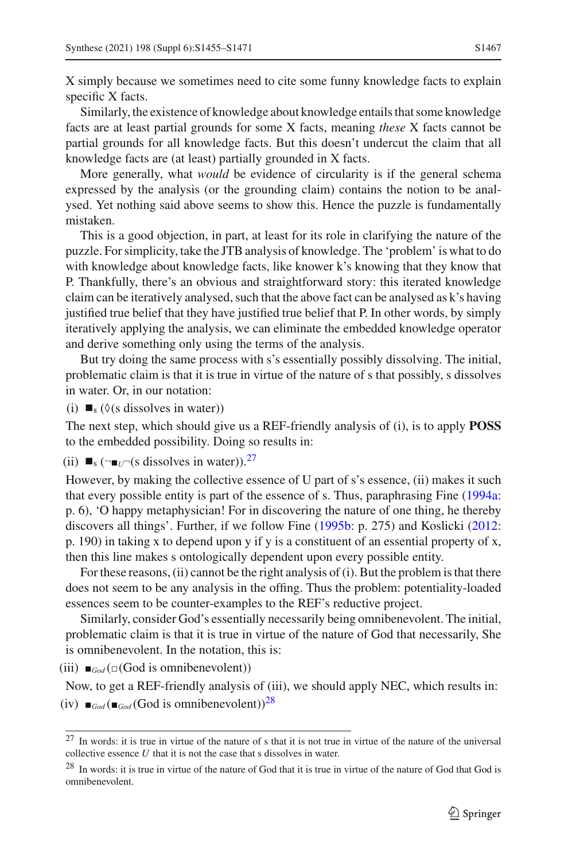X simply because we sometimes need to cite some funny knowledge facts to explain specific X facts.

Similarly, the existence of knowledge about knowledge entails that some knowledge facts are at least partial grounds for some X facts, meaning *these* X facts cannot be partial grounds for all knowledge facts. But this doesn't undercut the claim that all knowledge facts are (at least) partially grounded in X facts.

More generally, what *would* be evidence of circularity is if the general schema expressed by the analysis (or the grounding claim) contains the notion to be analysed. Yet nothing said above seems to show this. Hence the puzzle is fundamentally mistaken.

This is a good objection, in part, at least for its role in clarifying the nature of the puzzle. For simplicity, take the JTB analysis of knowledge. The 'problem' is what to do with knowledge about knowledge facts, like knower k's knowing that they know that P. Thankfully, there's an obvious and straightforward story: this iterated knowledge claim can be iteratively analysed, such that the above fact can be analysed as k's having justified true belief that they have justified true belief that P. In other words, by simply iteratively applying the analysis, we can eliminate the embedded knowledge operator and derive something only using the terms of the analysis.

But try doing the same process with s's essentially possibly dissolving. The initial, problematic claim is that it is true in virtue of the nature of s that possibly, s dissolves in water. Or, in our notation:

(i)  $\blacksquare_s$  ( $\Diamond$ (s dissolves in water))

The next step, which should give us a REF-friendly analysis of (i), is to apply **POSS** to the embedded possibility. Doing so results in:

(ii)  $\blacksquare_s$  ( $\neg$  $\blacksquare_U$ <sup>-</sup>(s dissolves in water)).<sup>[27](#page-12-0)</sup>

However, by making the collective essence of U part of s's essence, (ii) makes it such that every possible entity is part of the essence of s. Thus, paraphrasing Fine [\(1994a](#page-14-3): p. 6), 'O happy metaphysician! For in discovering the nature of one thing, he thereby discovers all things'. Further, if we follow Fine [\(1995b:](#page-14-10) p. 275) and Koslicki [\(2012](#page-15-36): p. 190) in taking x to depend upon y if y is a constituent of an essential property of x, then this line makes s ontologically dependent upon every possible entity.

For these reasons, (ii) cannot be the right analysis of (i). But the problem is that there does not seem to be any analysis in the offing. Thus the problem: potentiality-loaded essences seem to be counter-examples to the REF's reductive project.

Similarly, consider God's essentially necessarily being omnibenevolent. The initial, problematic claim is that it is true in virtue of the nature of God that necessarily, She is omnibenevolent. In the notation, this is:

(iii)  $\blacksquare_{God}(\square(God\ is\ omnibenevolent))$ 

Now, to get a REF-friendly analysis of (iii), we should apply NEC, which results in: (iv)  $\mathbf{I}_{\text{God}}(\mathbf{I}_{\text{God}}(\text{God is omnibenevolent}))^{28}$ 

<span id="page-12-0"></span> $27$  In words: it is true in virtue of the nature of s that it is not true in virtue of the nature of the universal collective essence *U* that it is not the case that s dissolves in water.

<span id="page-12-1"></span><sup>&</sup>lt;sup>28</sup> In words: it is true in virtue of the nature of God that it is true in virtue of the nature of God that God is omnibenevolent.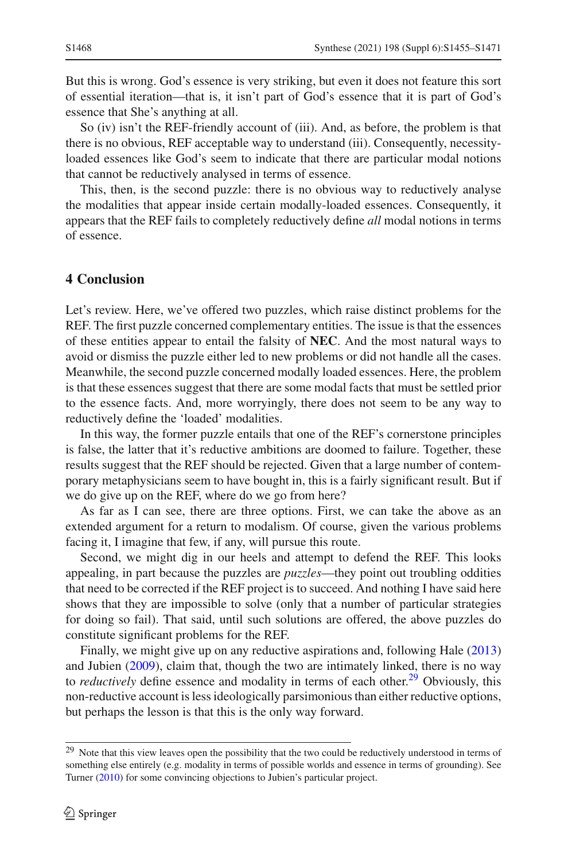But this is wrong. God's essence is very striking, but even it does not feature this sort of essential iteration—that is, it isn't part of God's essence that it is part of God's essence that She's anything at all.

So (iv) isn't the REF-friendly account of (iii). And, as before, the problem is that there is no obvious, REF acceptable way to understand (iii). Consequently, necessityloaded essences like God's seem to indicate that there are particular modal notions that cannot be reductively analysed in terms of essence.

This, then, is the second puzzle: there is no obvious way to reductively analyse the modalities that appear inside certain modally-loaded essences. Consequently, it appears that the REF fails to completely reductively define *all* modal notions in terms of essence.

## <span id="page-13-0"></span>**4 Conclusion**

Let's review. Here, we've offered two puzzles, which raise distinct problems for the REF. The first puzzle concerned complementary entities. The issue is that the essences of these entities appear to entail the falsity of **NEC**. And the most natural ways to avoid or dismiss the puzzle either led to new problems or did not handle all the cases. Meanwhile, the second puzzle concerned modally loaded essences. Here, the problem is that these essences suggest that there are some modal facts that must be settled prior to the essence facts. And, more worryingly, there does not seem to be any way to reductively define the 'loaded' modalities.

In this way, the former puzzle entails that one of the REF's cornerstone principles is false, the latter that it's reductive ambitions are doomed to failure. Together, these results suggest that the REF should be rejected. Given that a large number of contemporary metaphysicians seem to have bought in, this is a fairly significant result. But if we do give up on the REF, where do we go from here?

As far as I can see, there are three options. First, we can take the above as an extended argument for a return to modalism. Of course, given the various problems facing it, I imagine that few, if any, will pursue this route.

Second, we might dig in our heels and attempt to defend the REF. This looks appealing, in part because the puzzles are *puzzles*—they point out troubling oddities that need to be corrected if the REF project is to succeed. And nothing I have said here shows that they are impossible to solve (only that a number of particular strategies for doing so fail). That said, until such solutions are offered, the above puzzles do constitute significant problems for the REF.

Finally, we might give up on any reductive aspirations and, following Hal[e](#page-15-3) [\(2013\)](#page-15-3) and Jubie[n](#page-15-37) [\(2009](#page-15-37)), claim that, though the two are intimately linked, there is no way to *reductively* define essence and modality in terms of each other.<sup>29</sup> Obviously, this non-reductive account is less ideologically parsimonious than either reductive options, but perhaps the lesson is that this is the only way forward.

<span id="page-13-1"></span><sup>&</sup>lt;sup>29</sup> Note that this view leaves open the possibility that the two could be reductively understood in terms of something else entirely (e.g. modality in terms of possible worlds and essence in terms of grounding). See Turne[r](#page-16-12) [\(2010\)](#page-16-12) for some convincing objections to Jubien's particular project.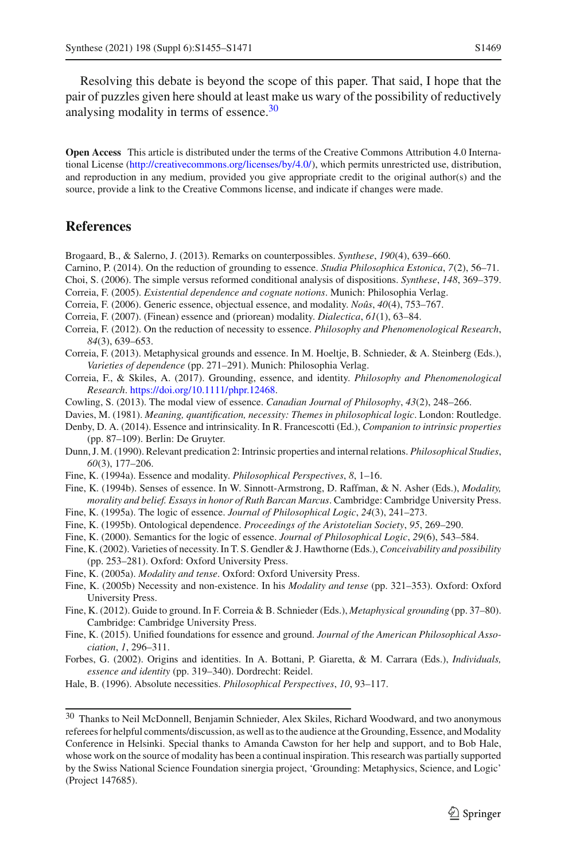Resolving this debate is beyond the scope of this paper. That said, I hope that the pair of puzzles given here should at least make us wary of the possibility of reductively analysing modality in terms of essence.<sup>30</sup>

**Open Access** This article is distributed under the terms of the Creative Commons Attribution 4.0 International License [\(http://creativecommons.org/licenses/by/4.0/\)](http://creativecommons.org/licenses/by/4.0/), which permits unrestricted use, distribution, and reproduction in any medium, provided you give appropriate credit to the original author(s) and the source, provide a link to the Creative Commons license, and indicate if changes were made.

#### **References**

<span id="page-14-6"></span>Brogaard, B., & Salerno, J. (2013). Remarks on counterpossibles. *Synthese*, *190*(4), 639–660.

- <span id="page-14-23"></span>Carnino, P. (2014). On the reduction of grounding to essence. *Studia Philosophica Estonica*, *7*(2), 56–71.
- <span id="page-14-24"></span>Choi, S. (2006). The simple versus reformed conditional analysis of dispositions. *Synthese*, *148*, 369–379.
- <span id="page-14-2"></span>Correia, F. (2005). *Existential dependence and cognate notions*. Munich: Philosophia Verlag.
- <span id="page-14-14"></span>Correia, F. (2006). Generic essence, objectual essence, and modality. *Noûs*, *40*(4), 753–767.
- <span id="page-14-15"></span>Correia, F. (2007). (Finean) essence and (priorean) modality. *Dialectica*, *61*(1), 63–84.
- <span id="page-14-16"></span>Correia, F. (2012). On the reduction of necessity to essence. *Philosophy and Phenomenological Research*, *84*(3), 639–653.
- <span id="page-14-17"></span>Correia, F. (2013). Metaphysical grounds and essence. In M. Hoeltje, B. Schnieder, & A. Steinberg (Eds.), *Varieties of dependence* (pp. 271–291). Munich: Philosophia Verlag.
- <span id="page-14-11"></span>Correia, F., & Skiles, A. (2017). Grounding, essence, and identity. *Philosophy and Phenomenological Research*. [https://doi.org/10.1111/phpr.12468.](https://doi.org/10.1111/phpr.12468)
- <span id="page-14-5"></span>Cowling, S. (2013). The modal view of essence. *Canadian Journal of Philosophy*, *43*(2), 248–266.
- <span id="page-14-20"></span>Davies, M. (1981). *Meaning, quantification, necessity: Themes in philosophical logic*. London: Routledge.
- <span id="page-14-7"></span>Denby, D. A. (2014). Essence and intrinsicality. In R. Francescotti (Ed.), *Companion to intrinsic properties* (pp. 87–109). Berlin: De Gruyter.
- <span id="page-14-4"></span>Dunn, J. M. (1990). Relevant predication 2: Intrinsic properties and internal relations. *Philosophical Studies*, *60*(3), 177–206.
- <span id="page-14-3"></span>Fine, K. (1994a). Essence and modality. *Philosophical Perspectives*, *8*, 1–16.
- <span id="page-14-8"></span>Fine, K. (1994b). Senses of essence. In W. Sinnott-Armstrong, D. Raffman, & N. Asher (Eds.), *Modality, morality and belief. Essays in honor of Ruth Barcan Marcus*. Cambridge: Cambridge University Press.
- <span id="page-14-9"></span>Fine, K. (1995a). The logic of essence. *Journal of Philosophical Logic*, *24*(3), 241–273.
- <span id="page-14-10"></span>Fine, K. (1995b). Ontological dependence. *Proceedings of the Aristotelian Society*, *95*, 269–290.
- <span id="page-14-12"></span>Fine, K. (2000). Semantics for the logic of essence. *Journal of Philosophical Logic*, *29*(6), 543–584.
- <span id="page-14-0"></span>Fine, K. (2002). Varieties of necessity. In T. S. Gendler & J. Hawthorne (Eds.),*Conceivability and possibility* (pp. 253–281). Oxford: Oxford University Press.
- <span id="page-14-18"></span>Fine, K. (2005a). *Modality and tense*. Oxford: Oxford University Press.
- <span id="page-14-21"></span>Fine, K. (2005b) Necessity and non-existence. In his *Modality and tense* (pp. 321–353). Oxford: Oxford University Press.
- <span id="page-14-22"></span>Fine, K. (2012). Guide to ground. In F. Correia & B. Schnieder (Eds.), *Metaphysical grounding* (pp. 37–80). Cambridge: Cambridge University Press.
- <span id="page-14-13"></span>Fine, K. (2015). Unified foundations for essence and ground. *Journal of the American Philosophical Association*, *1*, 296–311.
- <span id="page-14-19"></span>Forbes, G. (2002). Origins and identities. In A. Bottani, P. Giaretta, & M. Carrara (Eds.), *Individuals, essence and identity* (pp. 319–340). Dordrecht: Reidel.
- <span id="page-14-1"></span>Hale, B. (1996). Absolute necessities. *Philosophical Perspectives*, *10*, 93–117.

<span id="page-14-25"></span><sup>30</sup> Thanks to Neil McDonnell, Benjamin Schnieder, Alex Skiles, Richard Woodward, and two anonymous referees for helpful comments/discussion, as well as to the audience at the Grounding, Essence, and Modality Conference in Helsinki. Special thanks to Amanda Cawston for her help and support, and to Bob Hale, whose work on the source of modality has been a continual inspiration. This research was partially supported by the Swiss National Science Foundation sinergia project, 'Grounding: Metaphysics, Science, and Logic' (Project 147685).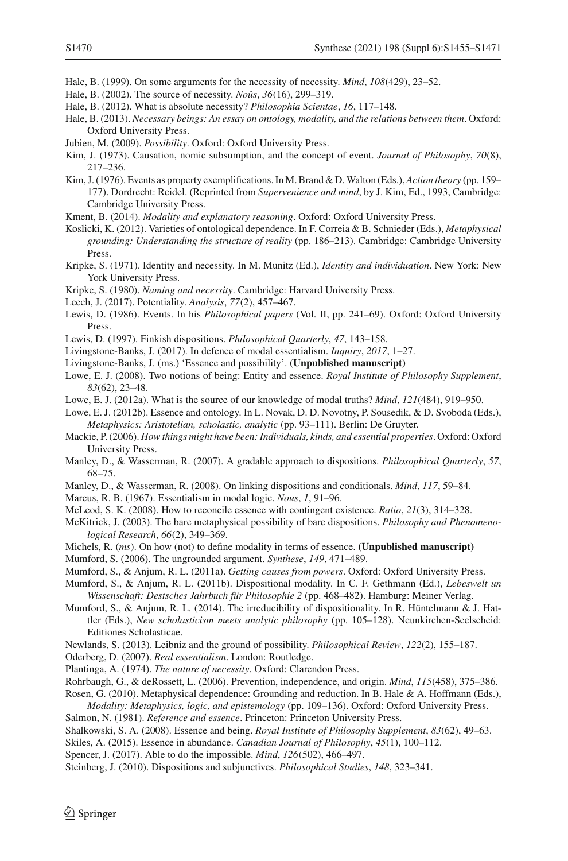- <span id="page-15-0"></span>Hale, B. (1999). On some arguments for the necessity of necessity. *Mind*, *108*(429), 23–52.
- <span id="page-15-1"></span>Hale, B. (2002). The source of necessity. *Noûs*, *36*(16), 299–319.
- <span id="page-15-2"></span>Hale, B. (2012). What is absolute necessity? *Philosophia Scientae*, *16*, 117–148.
- <span id="page-15-3"></span>Hale, B. (2013). *Necessary beings: An essay on ontology, modality, and the relations between them*. Oxford: Oxford University Press.
- <span id="page-15-37"></span>Jubien, M. (2009). *Possibility*. Oxford: Oxford University Press.
- <span id="page-15-16"></span>Kim, J. (1973). Causation, nomic subsumption, and the concept of event. *Journal of Philosophy*, *70*(8), 217–236.
- <span id="page-15-17"></span>Kim, J. (1976). Events as property exemplifications. In M. Brand & D.Walton (Eds.),*Action theory* (pp. 159– 177). Dordrecht: Reidel. (Reprinted from *Supervenience and mind*, by J. Kim, Ed., 1993, Cambridge: Cambridge University Press.
- <span id="page-15-4"></span>Kment, B. (2014). *Modality and explanatory reasoning*. Oxford: Oxford University Press.
- <span id="page-15-36"></span>Koslicki, K. (2012). Varieties of ontological dependence. In F. Correia & B. Schnieder (Eds.), *Metaphysical grounding: Understanding the structure of reality* (pp. 186–213). Cambridge: Cambridge University Press.
- <span id="page-15-23"></span>Kripke, S. (1971). Identity and necessity. In M. Munitz (Ed.), *Identity and individuation*. New York: New York University Press.
- <span id="page-15-6"></span>Kripke, S. (1980). *Naming and necessity*. Cambridge: Harvard University Press.
- <span id="page-15-32"></span>Leech, J. (2017). Potentiality. *Analysis*, *77*(2), 457–467.
- <span id="page-15-19"></span>Lewis, D. (1986). Events. In his *Philosophical papers* (Vol. II, pp. 241–69). Oxford: Oxford University Press.
- <span id="page-15-25"></span>Lewis, D. (1997). Finkish dispositions. *Philosophical Quarterly*, *47*, 143–158.
- <span id="page-15-8"></span>Livingstone-Banks, J. (2017). In defence of modal essentialism. *Inquiry*, *2017*, 1–27.
- Livingstone-Banks, J. (ms.) 'Essence and possibility'. **(Unpublished manuscript)**
- <span id="page-15-10"></span>Lowe, E. J. (2008). Two notions of being: Entity and essence. *Royal Institute of Philosophy Supplement*, *83*(62), 23–48.
- <span id="page-15-11"></span>Lowe, E. J. (2012a). What is the source of our knowledge of modal truths? *Mind*, *121*(484), 919–950.
- <span id="page-15-15"></span>Lowe, E. J. (2012b). Essence and ontology. In L. Novak, D. D. Novotny, P. Sousedik, & D. Svoboda (Eds.), *Metaphysics: Aristotelian, scholastic, analytic* (pp. 93–111). Berlin: De Gruyter.
- <span id="page-15-22"></span>Mackie, P. (2006). *How things might have been: Individuals, kinds, and essential properties*. Oxford: Oxford University Press.
- <span id="page-15-27"></span>Manley, D., & Wasserman, R. (2007). A gradable approach to dispositions. *Philosophical Quarterly*, *57*, 68–75.
- <span id="page-15-28"></span>Manley, D., & Wasserman, R. (2008). On linking dispositions and conditionals. *Mind*, *117*, 59–84.
- <span id="page-15-5"></span>Marcus, R. B. (1967). Essentialism in modal logic. *Nous*, *1*, 91–96.
- <span id="page-15-24"></span>McLeod, S. K. (2008). How to reconcile essence with contingent existence. *Ratio*, *21*(3), 314–328.
- <span id="page-15-34"></span>McKitrick, J. (2003). The bare metaphysical possibility of bare dispositions. *Philosophy and Phenomenological Research*, *66*(2), 349–369.
- Michels, R. (*ms*). On how (not) to define modality in terms of essence. **(Unpublished manuscript)**
- <span id="page-15-35"></span>Mumford, S. (2006). The ungrounded argument. *Synthese*, *149*, 471–489.
- <span id="page-15-29"></span>Mumford, S., & Anjum, R. L. (2011a). *Getting causes from powers*. Oxford: Oxford University Press.
- <span id="page-15-30"></span>Mumford, S., & Anjum, R. L. (2011b). Dispositional modality. In C. F. Gethmann (Ed.), *Lebeswelt un Wissenschaft: Destsches Jahrbuch für Philosophie 2* (pp. 468–482). Hamburg: Meiner Verlag.
- <span id="page-15-31"></span>Mumford, S., & Anjum, R. L. (2014). The irreducibility of dispositionality. In R. Hüntelmann & J. Hattler (Eds.), *New scholasticism meets analytic philosophy* (pp. 105–128). Neunkirchen-Seelscheid: Editiones Scholasticae.
- <span id="page-15-18"></span>Newlands, S. (2013). Leibniz and the ground of possibility. *Philosophical Review*, *122*(2), 155–187.
- <span id="page-15-12"></span>Oderberg, D. (2007). *Real essentialism*. London: Routledge.
- <span id="page-15-7"></span>Plantinga, A. (1974). *The nature of necessity*. Oxford: Clarendon Press.
- <span id="page-15-21"></span>Rohrbaugh, G., & deRossett, L. (2006). Prevention, independence, and origin. *Mind*, *115*(458), 375–386.
- <span id="page-15-14"></span>Rosen, G. (2010). Metaphysical dependence: Grounding and reduction. In B. Hale & A. Hoffmann (Eds.), *Modality: Metaphysics, logic, and epistemology* (pp. 109–136). Oxford: Oxford University Press.
- <span id="page-15-20"></span>Salmon, N. (1981). *Reference and essence*. Princeton: Princeton University Press.
- <span id="page-15-13"></span>Shalkowski, S. A. (2008). Essence and being. *Royal Institute of Philosophy Supplement*, *83*(62), 49–63.
- <span id="page-15-9"></span>Skiles, A. (2015). Essence in abundance. *Canadian Journal of Philosophy*, *45*(1), 100–112.
- <span id="page-15-33"></span>Spencer, J. (2017). Able to do the impossible. *Mind*, *126*(502), 466–497.
- <span id="page-15-26"></span>Steinberg, J. (2010). Dispositions and subjunctives. *Philosophical Studies*, *148*, 323–341.